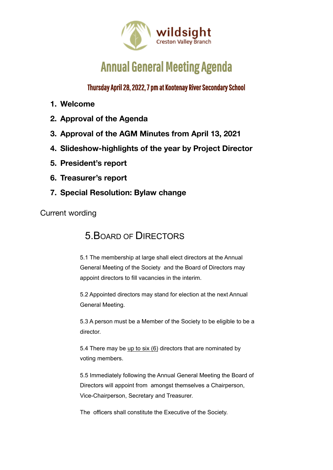

# **Annual General Meeting Agenda**

Thursday April 28, 2022, 7 pm at Kootenay River Secondary School

- **1. Welcome**
- **2. Approval of the Agenda**
- **3. Approval of the AGM Minutes from April 13, 2021**
- **4. Slideshow-highlights of the year by Project Director**
- **5. President's report**
- **6. Treasurer's report**
- **7. Special Resolution: Bylaw change**

Current wording

### 5.BOARD OF DIRECTORS

5.1 The membership at large shall elect directors at the Annual General Meeting of the Society and the Board of Directors may appoint directors to fill vacancies in the interim.

5.2 Appointed directors may stand for election at the next Annual General Meeting.

5.3 A person must be a Member of the Society to be eligible to be a director.

5.4 There may be up to six (6) directors that are nominated by voting members.

5.5 Immediately following the Annual General Meeting the Board of Directors will appoint from amongst themselves a Chairperson, Vice-Chairperson, Secretary and Treasurer.

The officers shall constitute the Executive of the Society.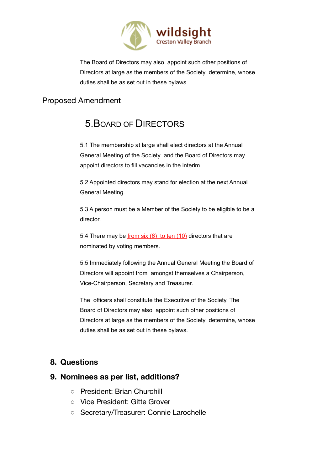

The Board of Directors may also appoint such other positions of Directors at large as the members of the Society determine, whose duties shall be as set out in these bylaws.

### Proposed Amendment

## 5.BOARD OF DIRECTORS

5.1 The membership at large shall elect directors at the Annual General Meeting of the Society and the Board of Directors may appoint directors to fill vacancies in the interim.

5.2 Appointed directors may stand for election at the next Annual General Meeting.

5.3 A person must be a Member of the Society to be eligible to be a director.

5.4 There may be from six  $(6)$  to ten  $(10)$  directors that are nominated by voting members.

5.5 Immediately following the Annual General Meeting the Board of Directors will appoint from amongst themselves a Chairperson, Vice-Chairperson, Secretary and Treasurer.

The officers shall constitute the Executive of the Society. The Board of Directors may also appoint such other positions of Directors at large as the members of the Society determine, whose duties shall be as set out in these bylaws.

### **8. Questions**

#### **9. Nominees as per list, additions?**

- President: Brian Churchill
- Vice President: Gitte Grover
- Secretary/Treasurer: Connie Larochelle